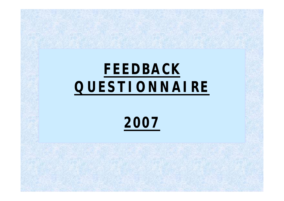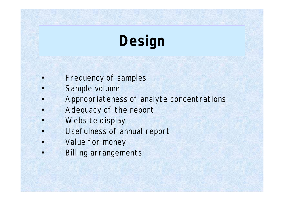# **Design**

- Frequency of samples
- Sample volume
- Appropriateness of analyte concentrations
- Adequacy of the report
- Website display
- Usefulness of annual report
- Value for money
- Billing arrangements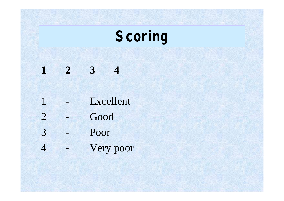# **Scoring**

 **2 3 4** - Excellent - Good - Poor - Very poor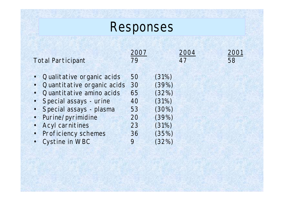# Responses

| <b>Total Participant</b>                                                                                 | 2007                | 2004                             | 2001 |
|----------------------------------------------------------------------------------------------------------|---------------------|----------------------------------|------|
|                                                                                                          | 79                  | 47                               | 58   |
| • Qualitative organic acids                                                                              | 50                  | (31%)                            |      |
| Quantitative organic acids                                                                               | 30                  | (39%)                            |      |
| Quantitative amino acids                                                                                 | 65                  | (32%)                            |      |
| Special assays - urine                                                                                   | 40                  | (31%)                            |      |
| • Special assays - plasma                                                                                | 53                  | (30%)                            |      |
| Purine/pyrimidine<br>$\bullet$<br><b>Acyl carnitines</b><br><b>Proficiency schemes</b><br>Cystine in WBC | 20<br>23<br>36<br>9 | (39%)<br>(31%)<br>(35%)<br>(32%) |      |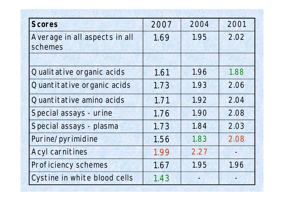| <b>Scores</b>                            | 2007 | 2004 | 2001 |
|------------------------------------------|------|------|------|
| Average in all aspects in all<br>schemes | 1.69 | 1.95 | 2.02 |
|                                          |      |      |      |
| Qualitative organic acids                | 1.61 | 1.96 | 1.88 |
| Quantitative organic acids               | 1.73 | 1.93 | 2.06 |
| Quantitative amino acids                 | 1.71 | 1.92 | 2.04 |
| Special assays - urine                   | 1.76 | 1.90 | 2.08 |
| Special assays - plasma                  | 1.73 | 1.84 | 2.03 |
| Purine/pyrimidine                        | 1.56 | 1.83 | 2.08 |
| <b>Acyl carnitines</b>                   | 1.99 | 2.27 |      |
| <b>Proficiency schemes</b>               | 1.67 | 1.95 | 1.96 |
| Cystine in white blood cells             | 1.43 |      |      |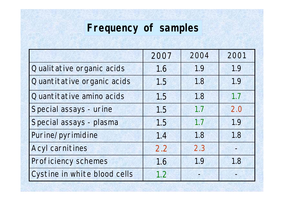# **Frequency of samples**

|                              | 2007 | 2004 | 2001 |
|------------------------------|------|------|------|
| Qualitative organic acids    | 1.6  | 1.9  | 1.9  |
| Quantitative organic acids   | 1.5  | 1.8  | 1.9  |
| Quantitative amino acids     | 1.5  | 1.8  | 1.7  |
| Special assays - urine       | 1.5  | 1.7  | 2.0  |
| Special assays - plasma      | 1.5  | 1.7  | 1.9  |
| Purine/pyrimidine            | 1.4  | 1.8  | 1.8  |
| <b>Acyl carnitines</b>       | 2.2  | 2.3  |      |
| Proficiency schemes          | 1.6  | 1.9  | 1.8  |
| Cystine in white blood cells | 1.2  |      |      |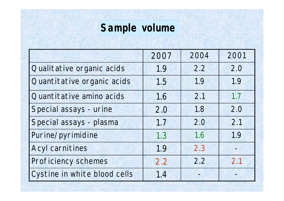## **Sample volume**

|                              | 2007 | 2004 | 2001 |
|------------------------------|------|------|------|
| Qualitative organic acids    | 1.9  | 2.2  | 2.0  |
| Quantitative organic acids   | 1.5  | 1.9  | 1.9  |
| Quantitative amino acids     | 1.6  | 2.1  | 1.7  |
| Special assays - urine       | 2.0  | 1.8  | 2.0  |
| Special assays - plasma      | 1.7  | 2.0  | 2.1  |
| Purine/pyrimidine            | 1.3  | 1.6  | 1.9  |
| <b>Acyl carnitines</b>       | 1.9  | 2.3  |      |
| Proficiency schemes          | 2.2  | 2.2  | 2.1  |
| Cystine in white blood cells | 1.4  |      |      |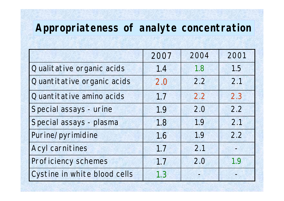### **Appropriateness of analyte concentration**

|                              | 2007 | 2004 | 2001 |
|------------------------------|------|------|------|
| Qualitative organic acids    | 1.4  | 1.8  | 1.5  |
| Quantitative organic acids   | 2.0  | 2.2  |      |
| Quantitative amino acids     | 1.7  | 2.2  | 2.3  |
| Special assays - urine       | 1.9  | 2.0  | 2.2  |
| Special assays - plasma      | 1.8  | 1.9  | 2.1  |
| Purine/pyrimidine            | 1.6  | 1.9  | 2.2  |
| <b>Acyl carnitines</b>       | 1.7  | 2.1  |      |
| Proficiency schemes          | 1.7  | 2.0  | 1.9  |
| Cystine in white blood cells | 1.3  |      |      |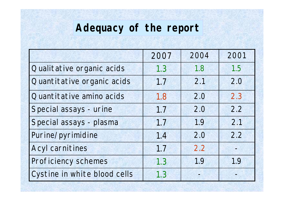### **Adequacy of the report**

|                              | 2007 | 2004 | 2001 |
|------------------------------|------|------|------|
| Qualitative organic acids    | 1.3  | 1.8  | 1.5  |
| Quantitative organic acids   | 1.7  | 2.1  |      |
| Quantitative amino acids     | 1.8  | 2.0  | 2.3  |
| Special assays - urine       | 1.7  | 2.0  | 2.2  |
| Special assays - plasma      | 1.7  | 1.9  | 2.1  |
| Purine/pyrimidine            | 1.4  | 2.0  |      |
| <b>Acyl carnitines</b>       | 1.7  | 2.2  |      |
| Proficiency schemes          | 1.3  | 1.9  | 1.9  |
| Cystine in white blood cells | 1.3  |      |      |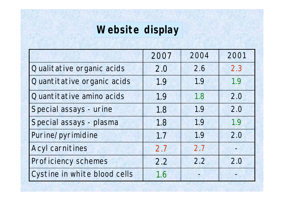## **Website display**

|                              | 2007 | 2004 | 2001 |
|------------------------------|------|------|------|
| Qualitative organic acids    | 2.0  | 2.6  | 2.3  |
| Quantitative organic acids   | 1.9  | 1.9  | 1.9  |
| Quantitative amino acids     | 1.9  | 1.8  | 2.0  |
| Special assays - urine       | 1.8  | 1.9  | 2.0  |
| Special assays - plasma      | 1.8  | 1.9  | 1.9  |
| Purine/pyrimidine            | 1.7  | 1.9  | 2.0  |
| <b>Acyl carnitines</b>       | 2.7  | 2.7  |      |
| Proficiency schemes          | 2.2  | 2.2  | 2.0  |
| Cystine in white blood cells | 1.6  |      |      |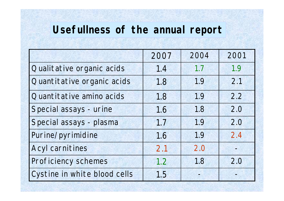### **Usefullness of the annual report**

|                              | 2007 | 2004 | 2001 |
|------------------------------|------|------|------|
| Qualitative organic acids    | 1.4  | 1.7  | 1.9  |
| Quantitative organic acids   | 1.8  | 1.9  | 2.1  |
| Quantitative amino acids     | 1.8  | 1.9  | 2.2  |
| Special assays - urine       | 1.6  | 1.8  | 2.0  |
| Special assays - plasma      | 1.7  | 1.9  | 2.0  |
| Purine/pyrimidine            | 1.6  | 1.9  | 2.4  |
| <b>Acyl carnitines</b>       | 2.1  | 2.0  |      |
| Proficiency schemes          | 1.2  | 1.8  | 2.0  |
| Cystine in white blood cells | 1.5  |      |      |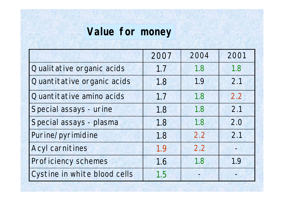### **Value for money**

|                              | 2007 | 2004 | 2001 |
|------------------------------|------|------|------|
| Qualitative organic acids    | 1.7  | 1.8  | 1.8  |
| Quantitative organic acids   | 1.8  | 1.9  | 2.1  |
| Quantitative amino acids     | 1.7  | 1.8  | 2.2  |
| Special assays - urine       | 1.8  | 1.8  | 2.1  |
| Special assays - plasma      | 1.8  | 1.8  | 2.0  |
| Purine/pyrimidine            | 1.8  | 2.2  | 2.1  |
| <b>Acyl carnitines</b>       | 1.9  | 2.2  |      |
| Proficiency schemes          | 1.6  | 1.8  | 1.9  |
| Cystine in white blood cells | 1.5  |      |      |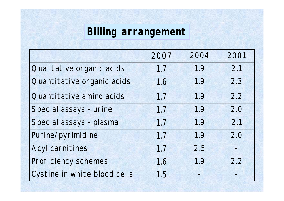# **Billing arrangement**

|                              | 2007 | 2004 | 2001 |
|------------------------------|------|------|------|
| Qualitative organic acids    | 1.7  | 1.9  | 2.1  |
| Quantitative organic acids   | 1.6  | 1.9  | 2.3  |
| Quantitative amino acids     | 1.7  | 1.9  | 2.2  |
| Special assays - urine       | 1.7  | 1.9  | 2.0  |
| Special assays - plasma      | 1.7  | 1.9  | 2.1  |
| Purine/pyrimidine            | 1.7  | 1.9  | 2.0  |
| <b>Acyl carnitines</b>       | 1.7  | 2.5  |      |
| Proficiency schemes          | 1.6  | 1.9  | 2.2  |
| Cystine in white blood cells | 1.5  |      |      |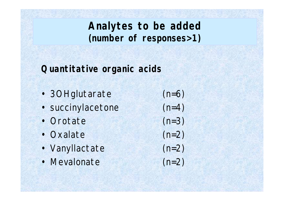### **Quantitative organic acids**

- 3OHglutarate (n=6)
- succinylacetone (n=4)
- Orotate (n=3)
- Oxalate (n=2)
- Vanyllactate (n=2)
- Mevalonate (n=2)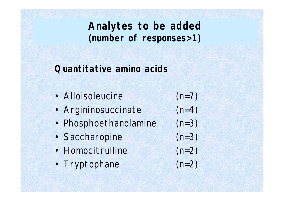### **Quantitative amino acids**

| · Alloisoleucine      | $(n=7)$ |
|-----------------------|---------|
| • Argininosuccinate   | $(n=4)$ |
| • Phosphoethanolamine | $(n=3)$ |
| · Saccharopine        | $(n=3)$ |
| • Homocitrulline      | $(n=2)$ |
| • Tryptophane         | $(n=2)$ |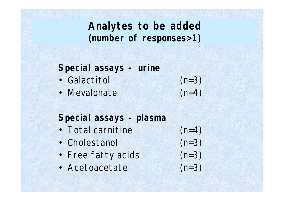**Special assays - urine**

- Galactitol (n=3)
- Mevalonate (n=4)
- 

**Special assays – plasma**

- Total carnitine (n=4)
- Cholestanol (n=3)
- Free fatty acids (n=3)
- Acetoacetate (n=3)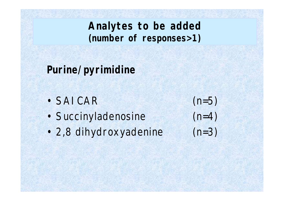**Purine/pyrimidine**

- $\cdot$  SAICAR (n=5)
- Succinyladenosine (n=4)
- 2,8 dihydroxyadenine (n=3)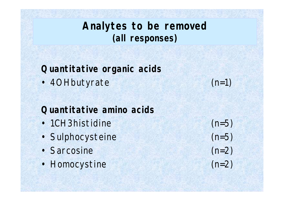**Analytes to be removed (all responses)**

**Quantitative organic acids**

• 4OHbutyrate (n=1)

### **Quantitative amino acids**

- 1CH3histidine (n=5)
- Sulphocysteine (n=5)
- Sarcosine (n=2)
- Homocystine (n=2)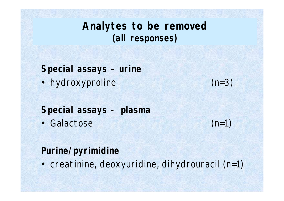**Analytes to be removed (all responses)**

**Special assays – urine**

• hydroxyproline (n=3)

### **Special assays - plasma**

• Galactose (n=1)

### **Purine/pyrimidine**

• creatinine, deoxyuridine, dihydrouracil (n=1)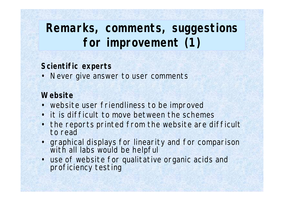## **Remarks, comments, suggestions for improvement (1)**

#### **Scientific experts**

• Never give answer to user comments

### **Website**

- website user friendliness to be improved
- it is difficult to move between the schemes
- the reports printed from the website are difficult to read
- graphical displays for linearity and for comparison with all labs would be helpful
- use of website for qualitative organic acids and proficiency testing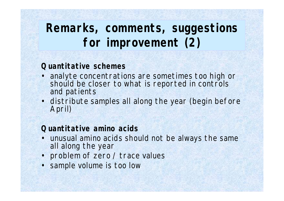## **Remarks, comments, suggestions for improvement (2)**

#### **Quantitative schemes**

- analyte concentrations are sometimes too high or should be closer to what is reported in controls and patients
- distribute samples all along the year (begin before April)

#### **Quantitative amino acids**

- unusual amino acids should not be always the same all along the year
- problem of zero / trace values
- sample volume is too low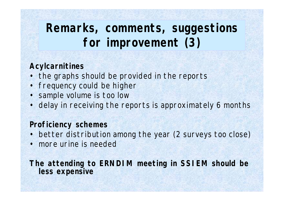## **Remarks, comments, suggestions for improvement (3)**

### **Acylcarnitines**

- the graphs should be provided in the reports
- frequency could be higher
- sample volume is too low
- delay in receiving the reports is approximately 6 months

#### **Proficiency schemes**

- better distribution among the year (2 surveys too close)
- more urine is needed

**The attending to ERNDIM meeting in SSIEM should be less expensive**